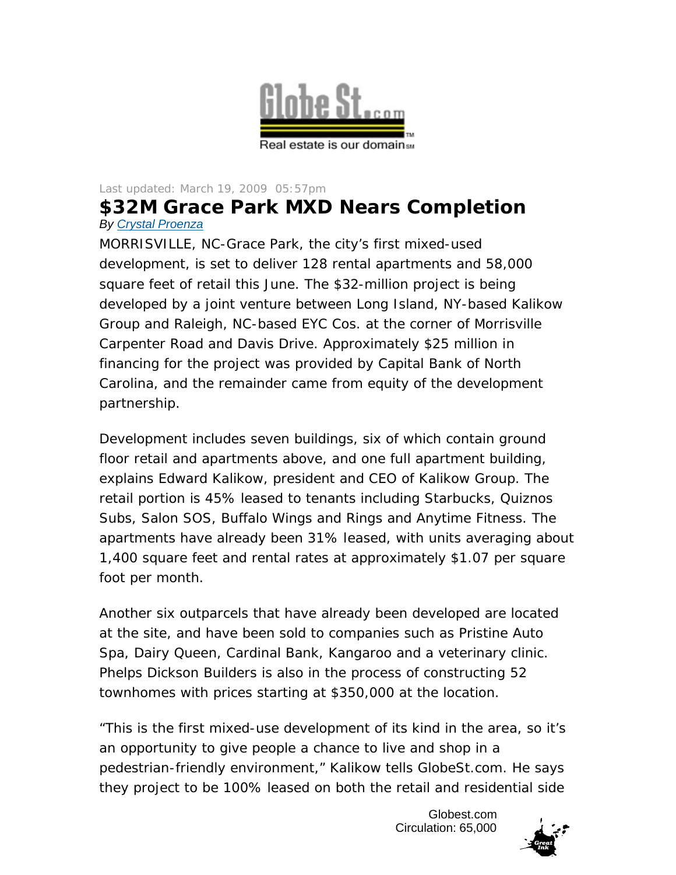

## Last updated: March 19, 2009 05:57pm

## **\$32M Grace Park MXD Nears Completion** *By Crystal Proenza*

MORRISVILLE, NC-Grace Park, the city's first mixed-used development, is set to deliver 128 rental apartments and 58,000 square feet of retail this June. The \$32-million project is being developed by a joint venture between Long Island, NY-based Kalikow Group and Raleigh, NC-based EYC Cos. at the corner of Morrisville Carpenter Road and Davis Drive. Approximately \$25 million in financing for the project was provided by Capital Bank of North Carolina, and the remainder came from equity of the development partnership.

Development includes seven buildings, six of which contain ground floor retail and apartments above, and one full apartment building, explains Edward Kalikow, president and CEO of Kalikow Group. The retail portion is 45% leased to tenants including Starbucks, Quiznos Subs, Salon SOS, Buffalo Wings and Rings and Anytime Fitness. The apartments have already been 31% leased, with units averaging about 1,400 square feet and rental rates at approximately \$1.07 per square foot per month.

Another six outparcels that have already been developed are located at the site, and have been sold to companies such as Pristine Auto Spa, Dairy Queen, Cardinal Bank, Kangaroo and a veterinary clinic. Phelps Dickson Builders is also in the process of constructing 52 townhomes with prices starting at \$350,000 at the location.

"This is the first mixed-use development of its kind in the area, so it's an opportunity to give people a chance to live and shop in a pedestrian-friendly environment," Kalikow tells GlobeSt.com. He says they project to be 100% leased on both the retail and residential side

> Globest.com Circulation: 65,000